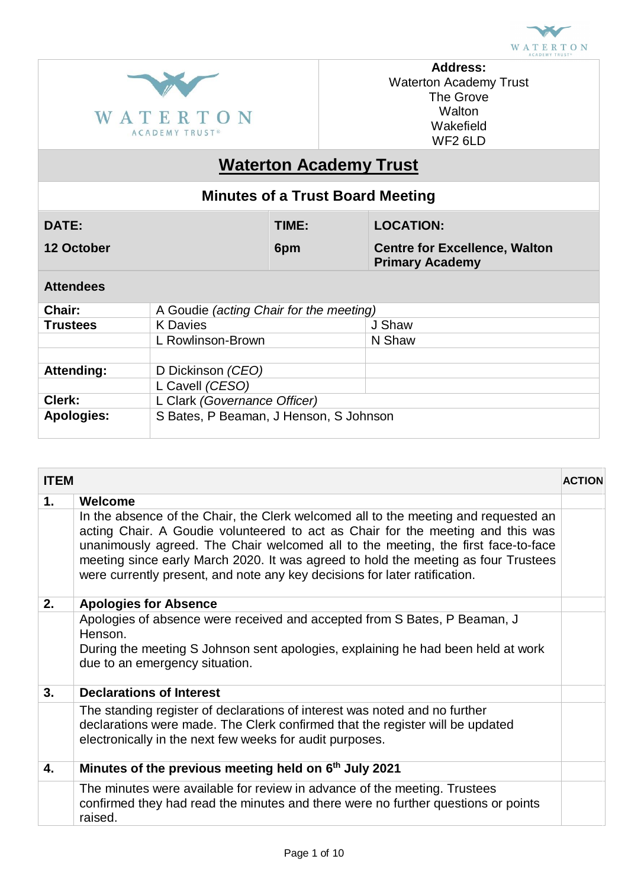



**Address:** Waterton Academy Trust The Grove **Walton** Wakefield WF2 6LD

# **Waterton Academy Trust**

| <b>Minutes of a Trust Board Meeting</b> |                                                |       |                                                                |                  |
|-----------------------------------------|------------------------------------------------|-------|----------------------------------------------------------------|------------------|
| DATE:                                   |                                                | TIME: |                                                                | <b>LOCATION:</b> |
| 12 October                              |                                                | 6pm   | <b>Centre for Excellence, Walton</b><br><b>Primary Academy</b> |                  |
| <b>Attendees</b>                        |                                                |       |                                                                |                  |
| Chair:                                  | A Goudie <i>(acting Chair for the meeting)</i> |       |                                                                |                  |
| <b>Trustees</b>                         | <b>K</b> Davies                                |       |                                                                | J Shaw           |
|                                         | L Rowlinson-Brown                              |       |                                                                | N Shaw           |
|                                         |                                                |       |                                                                |                  |
| Attending:                              | D Dickinson (CEO)                              |       |                                                                |                  |
|                                         | L Cavell (CESO)                                |       |                                                                |                  |
| Clerk:                                  | L Clark (Governance Officer)                   |       |                                                                |                  |
| <b>Apologies:</b>                       | S Bates, P Beaman, J Henson, S Johnson         |       |                                                                |                  |

| <b>ITEM</b> |                                                                                                                                                                                                                                                                                                                                                                                                                                 | <b>ACTION</b> |
|-------------|---------------------------------------------------------------------------------------------------------------------------------------------------------------------------------------------------------------------------------------------------------------------------------------------------------------------------------------------------------------------------------------------------------------------------------|---------------|
| 1.          | Welcome                                                                                                                                                                                                                                                                                                                                                                                                                         |               |
|             | In the absence of the Chair, the Clerk welcomed all to the meeting and requested an<br>acting Chair. A Goudie volunteered to act as Chair for the meeting and this was<br>unanimously agreed. The Chair welcomed all to the meeting, the first face-to-face<br>meeting since early March 2020. It was agreed to hold the meeting as four Trustees<br>were currently present, and note any key decisions for later ratification. |               |
| 2.          | <b>Apologies for Absence</b>                                                                                                                                                                                                                                                                                                                                                                                                    |               |
|             | Apologies of absence were received and accepted from S Bates, P Beaman, J<br>Henson.<br>During the meeting S Johnson sent apologies, explaining he had been held at work<br>due to an emergency situation.                                                                                                                                                                                                                      |               |
| 3.          | <b>Declarations of Interest</b>                                                                                                                                                                                                                                                                                                                                                                                                 |               |
|             | The standing register of declarations of interest was noted and no further<br>declarations were made. The Clerk confirmed that the register will be updated<br>electronically in the next few weeks for audit purposes.                                                                                                                                                                                                         |               |
| 4.          | Minutes of the previous meeting held on 6 <sup>th</sup> July 2021                                                                                                                                                                                                                                                                                                                                                               |               |
|             | The minutes were available for review in advance of the meeting. Trustees<br>confirmed they had read the minutes and there were no further questions or points<br>raised.                                                                                                                                                                                                                                                       |               |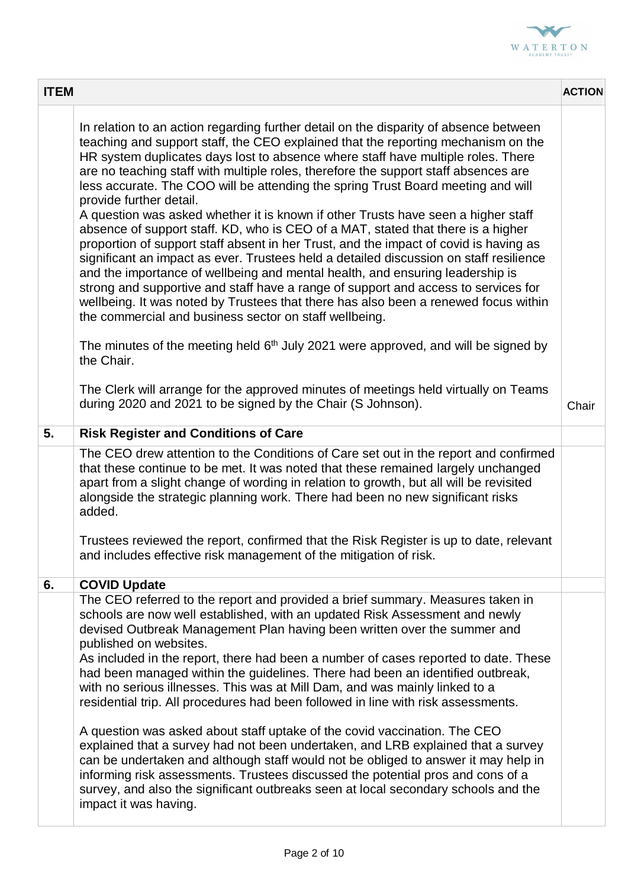

| <b>ITEM</b> |                                                                                                                                                                                                                                                                                                                                                                                                                                                                                                                                                                                                                                                                                                                                                                                                                                                                                                                                                                                                                                                                                                                                                                                                                                                                | <b>ACTION</b> |
|-------------|----------------------------------------------------------------------------------------------------------------------------------------------------------------------------------------------------------------------------------------------------------------------------------------------------------------------------------------------------------------------------------------------------------------------------------------------------------------------------------------------------------------------------------------------------------------------------------------------------------------------------------------------------------------------------------------------------------------------------------------------------------------------------------------------------------------------------------------------------------------------------------------------------------------------------------------------------------------------------------------------------------------------------------------------------------------------------------------------------------------------------------------------------------------------------------------------------------------------------------------------------------------|---------------|
|             | In relation to an action regarding further detail on the disparity of absence between<br>teaching and support staff, the CEO explained that the reporting mechanism on the<br>HR system duplicates days lost to absence where staff have multiple roles. There<br>are no teaching staff with multiple roles, therefore the support staff absences are<br>less accurate. The COO will be attending the spring Trust Board meeting and will<br>provide further detail.<br>A question was asked whether it is known if other Trusts have seen a higher staff<br>absence of support staff. KD, who is CEO of a MAT, stated that there is a higher<br>proportion of support staff absent in her Trust, and the impact of covid is having as<br>significant an impact as ever. Trustees held a detailed discussion on staff resilience<br>and the importance of wellbeing and mental health, and ensuring leadership is<br>strong and supportive and staff have a range of support and access to services for<br>wellbeing. It was noted by Trustees that there has also been a renewed focus within<br>the commercial and business sector on staff wellbeing.<br>The minutes of the meeting held $6th$ July 2021 were approved, and will be signed by<br>the Chair. |               |
|             | The Clerk will arrange for the approved minutes of meetings held virtually on Teams<br>during 2020 and 2021 to be signed by the Chair (S Johnson).                                                                                                                                                                                                                                                                                                                                                                                                                                                                                                                                                                                                                                                                                                                                                                                                                                                                                                                                                                                                                                                                                                             | Chair         |
| 5.          | <b>Risk Register and Conditions of Care</b>                                                                                                                                                                                                                                                                                                                                                                                                                                                                                                                                                                                                                                                                                                                                                                                                                                                                                                                                                                                                                                                                                                                                                                                                                    |               |
|             | The CEO drew attention to the Conditions of Care set out in the report and confirmed<br>that these continue to be met. It was noted that these remained largely unchanged<br>apart from a slight change of wording in relation to growth, but all will be revisited<br>alongside the strategic planning work. There had been no new significant risks<br>added.<br>Trustees reviewed the report, confirmed that the Risk Register is up to date, relevant<br>and includes effective risk management of the mitigation of risk.                                                                                                                                                                                                                                                                                                                                                                                                                                                                                                                                                                                                                                                                                                                                 |               |
| 6.          | <b>COVID Update</b>                                                                                                                                                                                                                                                                                                                                                                                                                                                                                                                                                                                                                                                                                                                                                                                                                                                                                                                                                                                                                                                                                                                                                                                                                                            |               |
|             | The CEO referred to the report and provided a brief summary. Measures taken in<br>schools are now well established, with an updated Risk Assessment and newly<br>devised Outbreak Management Plan having been written over the summer and<br>published on websites.<br>As included in the report, there had been a number of cases reported to date. These<br>had been managed within the guidelines. There had been an identified outbreak,<br>with no serious illnesses. This was at Mill Dam, and was mainly linked to a<br>residential trip. All procedures had been followed in line with risk assessments.<br>A question was asked about staff uptake of the covid vaccination. The CEO<br>explained that a survey had not been undertaken, and LRB explained that a survey<br>can be undertaken and although staff would not be obliged to answer it may help in<br>informing risk assessments. Trustees discussed the potential pros and cons of a<br>survey, and also the significant outbreaks seen at local secondary schools and the<br>impact it was having.                                                                                                                                                                                      |               |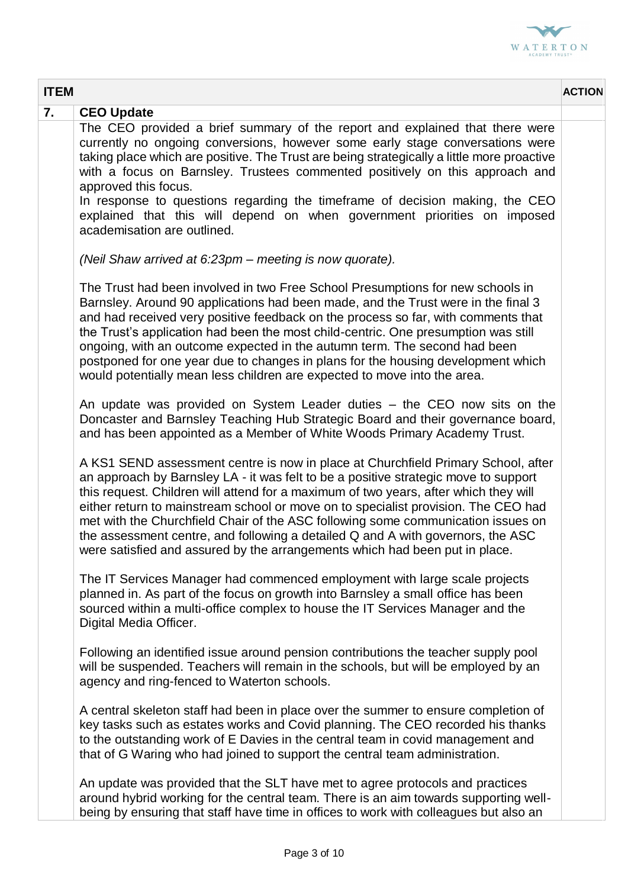

| <b>ITEM</b>                                                                                                                                                                                                                                                                                                                                                                                                                                                                                                                                                                                                  | <b>ACTION</b> |
|--------------------------------------------------------------------------------------------------------------------------------------------------------------------------------------------------------------------------------------------------------------------------------------------------------------------------------------------------------------------------------------------------------------------------------------------------------------------------------------------------------------------------------------------------------------------------------------------------------------|---------------|
| 7.<br><b>CEO Update</b>                                                                                                                                                                                                                                                                                                                                                                                                                                                                                                                                                                                      |               |
| The CEO provided a brief summary of the report and explained that there were<br>currently no ongoing conversions, however some early stage conversations were<br>taking place which are positive. The Trust are being strategically a little more proactive<br>with a focus on Barnsley. Trustees commented positively on this approach and<br>approved this focus.                                                                                                                                                                                                                                          |               |
| In response to questions regarding the timeframe of decision making, the CEO<br>explained that this will depend on when government priorities on imposed<br>academisation are outlined.                                                                                                                                                                                                                                                                                                                                                                                                                      |               |
| (Neil Shaw arrived at 6:23pm – meeting is now quorate).                                                                                                                                                                                                                                                                                                                                                                                                                                                                                                                                                      |               |
| The Trust had been involved in two Free School Presumptions for new schools in<br>Barnsley. Around 90 applications had been made, and the Trust were in the final 3<br>and had received very positive feedback on the process so far, with comments that<br>the Trust's application had been the most child-centric. One presumption was still<br>ongoing, with an outcome expected in the autumn term. The second had been<br>postponed for one year due to changes in plans for the housing development which<br>would potentially mean less children are expected to move into the area.                  |               |
| An update was provided on System Leader duties – the CEO now sits on the<br>Doncaster and Barnsley Teaching Hub Strategic Board and their governance board,<br>and has been appointed as a Member of White Woods Primary Academy Trust.                                                                                                                                                                                                                                                                                                                                                                      |               |
| A KS1 SEND assessment centre is now in place at Churchfield Primary School, after<br>an approach by Barnsley LA - it was felt to be a positive strategic move to support<br>this request. Children will attend for a maximum of two years, after which they will<br>either return to mainstream school or move on to specialist provision. The CEO had<br>met with the Churchfield Chair of the ASC following some communication issues on<br>the assessment centre, and following a detailed Q and A with governors, the ASC<br>were satisfied and assured by the arrangements which had been put in place. |               |
| The IT Services Manager had commenced employment with large scale projects<br>planned in. As part of the focus on growth into Barnsley a small office has been<br>sourced within a multi-office complex to house the IT Services Manager and the<br>Digital Media Officer.                                                                                                                                                                                                                                                                                                                                   |               |
| Following an identified issue around pension contributions the teacher supply pool<br>will be suspended. Teachers will remain in the schools, but will be employed by an<br>agency and ring-fenced to Waterton schools.                                                                                                                                                                                                                                                                                                                                                                                      |               |
| A central skeleton staff had been in place over the summer to ensure completion of<br>key tasks such as estates works and Covid planning. The CEO recorded his thanks<br>to the outstanding work of E Davies in the central team in covid management and<br>that of G Waring who had joined to support the central team administration.                                                                                                                                                                                                                                                                      |               |
| An update was provided that the SLT have met to agree protocols and practices<br>around hybrid working for the central team. There is an aim towards supporting well-<br>being by ensuring that staff have time in offices to work with colleagues but also an                                                                                                                                                                                                                                                                                                                                               |               |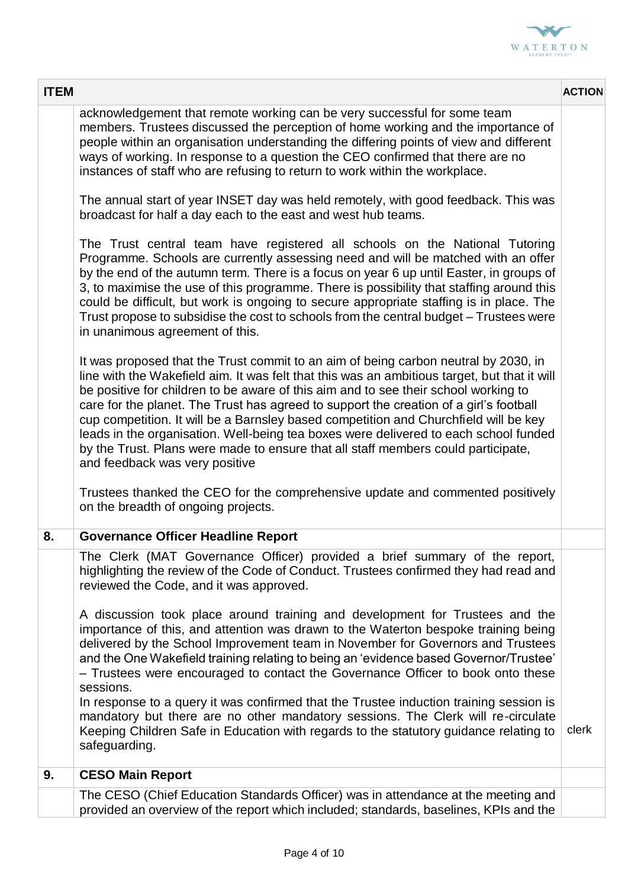

| <b>ITEM</b> |                                                                                                                                                                                                                                                                                                                                                                                                                                                                                                                                                                                                                                                                                                                                                                                                      | <b>ACTION</b> |
|-------------|------------------------------------------------------------------------------------------------------------------------------------------------------------------------------------------------------------------------------------------------------------------------------------------------------------------------------------------------------------------------------------------------------------------------------------------------------------------------------------------------------------------------------------------------------------------------------------------------------------------------------------------------------------------------------------------------------------------------------------------------------------------------------------------------------|---------------|
|             | acknowledgement that remote working can be very successful for some team<br>members. Trustees discussed the perception of home working and the importance of<br>people within an organisation understanding the differing points of view and different<br>ways of working. In response to a question the CEO confirmed that there are no<br>instances of staff who are refusing to return to work within the workplace.                                                                                                                                                                                                                                                                                                                                                                              |               |
|             | The annual start of year INSET day was held remotely, with good feedback. This was<br>broadcast for half a day each to the east and west hub teams.                                                                                                                                                                                                                                                                                                                                                                                                                                                                                                                                                                                                                                                  |               |
|             | The Trust central team have registered all schools on the National Tutoring<br>Programme. Schools are currently assessing need and will be matched with an offer<br>by the end of the autumn term. There is a focus on year 6 up until Easter, in groups of<br>3, to maximise the use of this programme. There is possibility that staffing around this<br>could be difficult, but work is ongoing to secure appropriate staffing is in place. The<br>Trust propose to subsidise the cost to schools from the central budget - Trustees were<br>in unanimous agreement of this.                                                                                                                                                                                                                      |               |
|             | It was proposed that the Trust commit to an aim of being carbon neutral by 2030, in<br>line with the Wakefield aim. It was felt that this was an ambitious target, but that it will<br>be positive for children to be aware of this aim and to see their school working to<br>care for the planet. The Trust has agreed to support the creation of a girl's football<br>cup competition. It will be a Barnsley based competition and Churchfield will be key<br>leads in the organisation. Well-being tea boxes were delivered to each school funded<br>by the Trust. Plans were made to ensure that all staff members could participate,<br>and feedback was very positive<br>Trustees thanked the CEO for the comprehensive update and commented positively<br>on the breadth of ongoing projects. |               |
| 8.          | <b>Governance Officer Headline Report</b>                                                                                                                                                                                                                                                                                                                                                                                                                                                                                                                                                                                                                                                                                                                                                            |               |
|             | The Clerk (MAT Governance Officer) provided a brief summary of the report,<br>highlighting the review of the Code of Conduct. Trustees confirmed they had read and<br>reviewed the Code, and it was approved.<br>A discussion took place around training and development for Trustees and the<br>importance of this, and attention was drawn to the Waterton bespoke training being<br>delivered by the School Improvement team in November for Governors and Trustees<br>and the One Wakefield training relating to being an 'evidence based Governor/Trustee'<br>- Trustees were encouraged to contact the Governance Officer to book onto these<br>sessions.                                                                                                                                      |               |
|             | In response to a query it was confirmed that the Trustee induction training session is<br>mandatory but there are no other mandatory sessions. The Clerk will re-circulate<br>Keeping Children Safe in Education with regards to the statutory guidance relating to<br>safeguarding.                                                                                                                                                                                                                                                                                                                                                                                                                                                                                                                 | clerk         |
| 9.          | <b>CESO Main Report</b>                                                                                                                                                                                                                                                                                                                                                                                                                                                                                                                                                                                                                                                                                                                                                                              |               |
|             | The CESO (Chief Education Standards Officer) was in attendance at the meeting and<br>provided an overview of the report which included; standards, baselines, KPIs and the                                                                                                                                                                                                                                                                                                                                                                                                                                                                                                                                                                                                                           |               |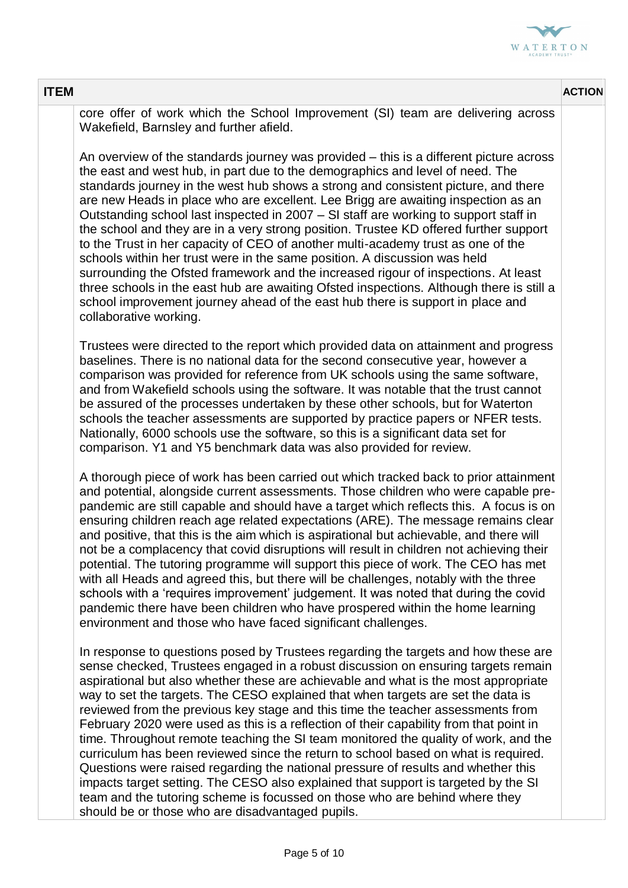

| <b>ITEM</b> |                                                                                                                                                                                                                                                                                                                                                                                                                                                                                                                                                                                                                                                                                                                                                                                                                                                                                                                                                                                                                            | <b>ACTION</b> |
|-------------|----------------------------------------------------------------------------------------------------------------------------------------------------------------------------------------------------------------------------------------------------------------------------------------------------------------------------------------------------------------------------------------------------------------------------------------------------------------------------------------------------------------------------------------------------------------------------------------------------------------------------------------------------------------------------------------------------------------------------------------------------------------------------------------------------------------------------------------------------------------------------------------------------------------------------------------------------------------------------------------------------------------------------|---------------|
|             | core offer of work which the School Improvement (SI) team are delivering across<br>Wakefield, Barnsley and further afield.                                                                                                                                                                                                                                                                                                                                                                                                                                                                                                                                                                                                                                                                                                                                                                                                                                                                                                 |               |
|             | An overview of the standards journey was provided – this is a different picture across<br>the east and west hub, in part due to the demographics and level of need. The<br>standards journey in the west hub shows a strong and consistent picture, and there<br>are new Heads in place who are excellent. Lee Brigg are awaiting inspection as an<br>Outstanding school last inspected in 2007 – SI staff are working to support staff in<br>the school and they are in a very strong position. Trustee KD offered further support<br>to the Trust in her capacity of CEO of another multi-academy trust as one of the<br>schools within her trust were in the same position. A discussion was held<br>surrounding the Ofsted framework and the increased rigour of inspections. At least<br>three schools in the east hub are awaiting Ofsted inspections. Although there is still a<br>school improvement journey ahead of the east hub there is support in place and<br>collaborative working.                         |               |
|             | Trustees were directed to the report which provided data on attainment and progress<br>baselines. There is no national data for the second consecutive year, however a<br>comparison was provided for reference from UK schools using the same software,<br>and from Wakefield schools using the software. It was notable that the trust cannot<br>be assured of the processes undertaken by these other schools, but for Waterton<br>schools the teacher assessments are supported by practice papers or NFER tests.<br>Nationally, 6000 schools use the software, so this is a significant data set for<br>comparison. Y1 and Y5 benchmark data was also provided for review.                                                                                                                                                                                                                                                                                                                                            |               |
|             | A thorough piece of work has been carried out which tracked back to prior attainment<br>and potential, alongside current assessments. Those children who were capable pre-<br>pandemic are still capable and should have a target which reflects this. A focus is on<br>ensuring children reach age related expectations (ARE). The message remains clear<br>and positive, that this is the aim which is aspirational but achievable, and there will<br>not be a complacency that covid disruptions will result in children not achieving their<br>potential. The tutoring programme will support this piece of work. The CEO has met<br>with all Heads and agreed this, but there will be challenges, notably with the three<br>schools with a 'requires improvement' judgement. It was noted that during the covid<br>pandemic there have been children who have prospered within the home learning<br>environment and those who have faced significant challenges.                                                      |               |
|             | In response to questions posed by Trustees regarding the targets and how these are<br>sense checked, Trustees engaged in a robust discussion on ensuring targets remain<br>aspirational but also whether these are achievable and what is the most appropriate<br>way to set the targets. The CESO explained that when targets are set the data is<br>reviewed from the previous key stage and this time the teacher assessments from<br>February 2020 were used as this is a reflection of their capability from that point in<br>time. Throughout remote teaching the SI team monitored the quality of work, and the<br>curriculum has been reviewed since the return to school based on what is required.<br>Questions were raised regarding the national pressure of results and whether this<br>impacts target setting. The CESO also explained that support is targeted by the SI<br>team and the tutoring scheme is focussed on those who are behind where they<br>should be or those who are disadvantaged pupils. |               |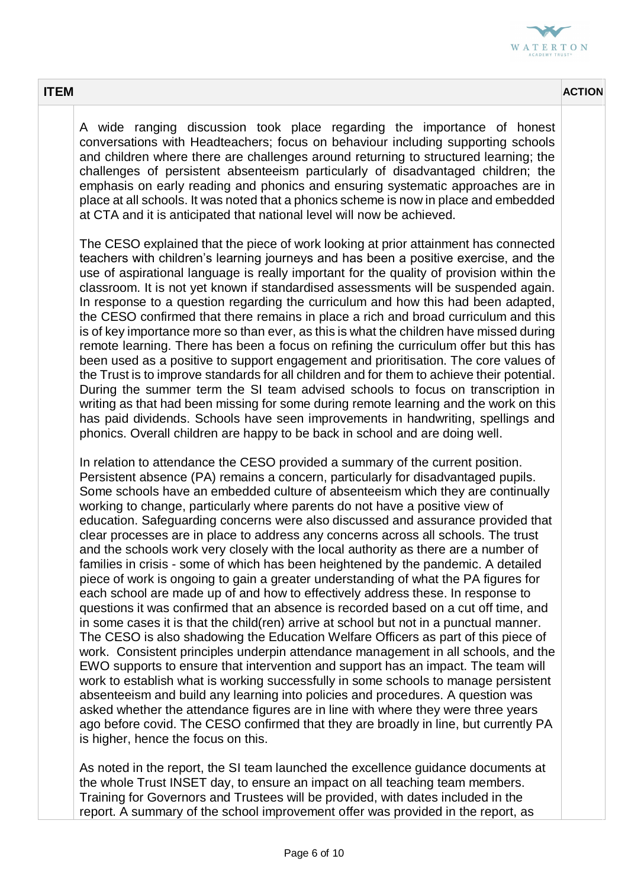

A wide ranging discussion took place regarding the importance of honest conversations with Headteachers; focus on behaviour including supporting schools and children where there are challenges around returning to structured learning; the challenges of persistent absenteeism particularly of disadvantaged children; the emphasis on early reading and phonics and ensuring systematic approaches are in place at all schools. It was noted that a phonics scheme is now in place and embedded at CTA and it is anticipated that national level will now be achieved.

The CESO explained that the piece of work looking at prior attainment has connected teachers with children's learning journeys and has been a positive exercise, and the use of aspirational language is really important for the quality of provision within the classroom. It is not yet known if standardised assessments will be suspended again. In response to a question regarding the curriculum and how this had been adapted, the CESO confirmed that there remains in place a rich and broad curriculum and this is of key importance more so than ever, as this is what the children have missed during remote learning. There has been a focus on refining the curriculum offer but this has been used as a positive to support engagement and prioritisation. The core values of the Trust is to improve standards for all children and for them to achieve their potential. During the summer term the SI team advised schools to focus on transcription in writing as that had been missing for some during remote learning and the work on this has paid dividends. Schools have seen improvements in handwriting, spellings and phonics. Overall children are happy to be back in school and are doing well.

In relation to attendance the CESO provided a summary of the current position. Persistent absence (PA) remains a concern, particularly for disadvantaged pupils. Some schools have an embedded culture of absenteeism which they are continually working to change, particularly where parents do not have a positive view of education. Safeguarding concerns were also discussed and assurance provided that clear processes are in place to address any concerns across all schools. The trust and the schools work very closely with the local authority as there are a number of families in crisis - some of which has been heightened by the pandemic. A detailed piece of work is ongoing to gain a greater understanding of what the PA figures for each school are made up of and how to effectively address these. In response to questions it was confirmed that an absence is recorded based on a cut off time, and in some cases it is that the child(ren) arrive at school but not in a punctual manner. The CESO is also shadowing the Education Welfare Officers as part of this piece of work. Consistent principles underpin attendance management in all schools, and the EWO supports to ensure that intervention and support has an impact. The team will work to establish what is working successfully in some schools to manage persistent absenteeism and build any learning into policies and procedures. A question was asked whether the attendance figures are in line with where they were three years ago before covid. The CESO confirmed that they are broadly in line, but currently PA is higher, hence the focus on this.

As noted in the report, the SI team launched the excellence guidance documents at the whole Trust INSET day, to ensure an impact on all teaching team members. Training for Governors and Trustees will be provided, with dates included in the report. A summary of the school improvement offer was provided in the report, as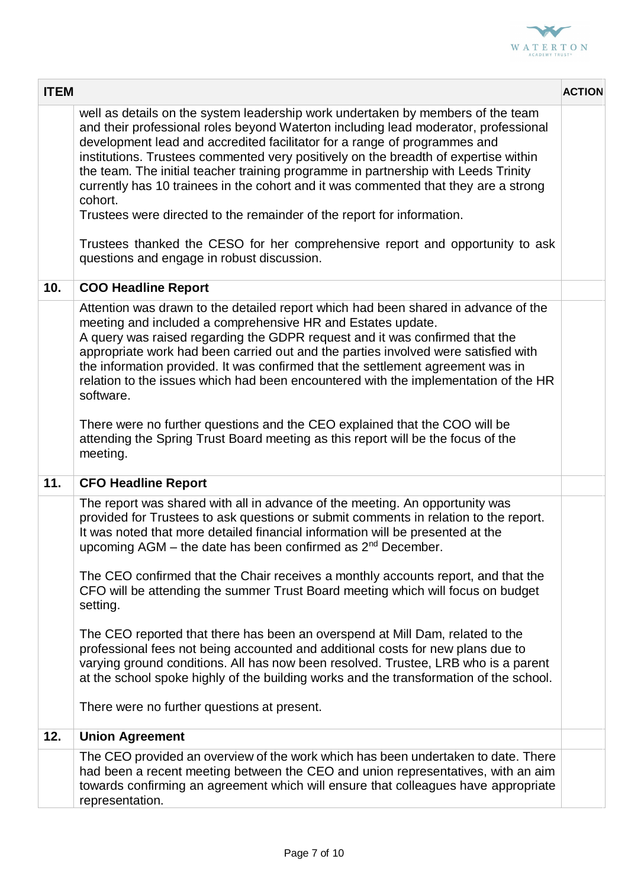

| <b>ITEM</b> |                                                                                                                                                                                                                                                                                                                                                                                                                                                                                                                                                                                                                                                                                                                                                                                                                                                                                                                          | <b>ACTION</b> |
|-------------|--------------------------------------------------------------------------------------------------------------------------------------------------------------------------------------------------------------------------------------------------------------------------------------------------------------------------------------------------------------------------------------------------------------------------------------------------------------------------------------------------------------------------------------------------------------------------------------------------------------------------------------------------------------------------------------------------------------------------------------------------------------------------------------------------------------------------------------------------------------------------------------------------------------------------|---------------|
|             | well as details on the system leadership work undertaken by members of the team<br>and their professional roles beyond Waterton including lead moderator, professional<br>development lead and accredited facilitator for a range of programmes and<br>institutions. Trustees commented very positively on the breadth of expertise within<br>the team. The initial teacher training programme in partnership with Leeds Trinity<br>currently has 10 trainees in the cohort and it was commented that they are a strong<br>cohort.<br>Trustees were directed to the remainder of the report for information.<br>Trustees thanked the CESO for her comprehensive report and opportunity to ask<br>questions and engage in robust discussion.                                                                                                                                                                              |               |
| 10.         | <b>COO Headline Report</b>                                                                                                                                                                                                                                                                                                                                                                                                                                                                                                                                                                                                                                                                                                                                                                                                                                                                                               |               |
|             | Attention was drawn to the detailed report which had been shared in advance of the<br>meeting and included a comprehensive HR and Estates update.<br>A query was raised regarding the GDPR request and it was confirmed that the<br>appropriate work had been carried out and the parties involved were satisfied with<br>the information provided. It was confirmed that the settlement agreement was in<br>relation to the issues which had been encountered with the implementation of the HR<br>software.<br>There were no further questions and the CEO explained that the COO will be<br>attending the Spring Trust Board meeting as this report will be the focus of the<br>meeting.                                                                                                                                                                                                                              |               |
| 11.         | <b>CFO Headline Report</b>                                                                                                                                                                                                                                                                                                                                                                                                                                                                                                                                                                                                                                                                                                                                                                                                                                                                                               |               |
|             | The report was shared with all in advance of the meeting. An opportunity was<br>provided for Trustees to ask questions or submit comments in relation to the report.<br>It was noted that more detailed financial information will be presented at the<br>upcoming AGM - the date has been confirmed as 2 <sup>nd</sup> December.<br>The CEO confirmed that the Chair receives a monthly accounts report, and that the<br>CFO will be attending the summer Trust Board meeting which will focus on budget<br>setting.<br>The CEO reported that there has been an overspend at Mill Dam, related to the<br>professional fees not being accounted and additional costs for new plans due to<br>varying ground conditions. All has now been resolved. Trustee, LRB who is a parent<br>at the school spoke highly of the building works and the transformation of the school.<br>There were no further questions at present. |               |
| 12.         | <b>Union Agreement</b>                                                                                                                                                                                                                                                                                                                                                                                                                                                                                                                                                                                                                                                                                                                                                                                                                                                                                                   |               |
|             | The CEO provided an overview of the work which has been undertaken to date. There<br>had been a recent meeting between the CEO and union representatives, with an aim<br>towards confirming an agreement which will ensure that colleagues have appropriate<br>representation.                                                                                                                                                                                                                                                                                                                                                                                                                                                                                                                                                                                                                                           |               |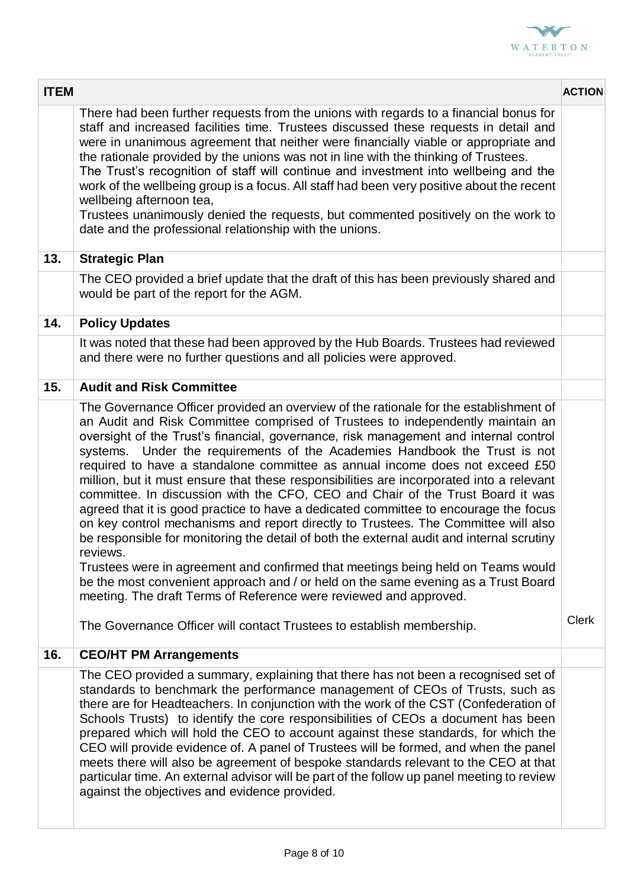

| <b>ITEM</b> |                                                                                                                                                                                                                                                                                                                                                                                                                                                                                                                                                                                                                                                                                                                                                                                                                                                                                                                                                                                                                                                                                                                                                                                                                            | <b>ACTION</b> |
|-------------|----------------------------------------------------------------------------------------------------------------------------------------------------------------------------------------------------------------------------------------------------------------------------------------------------------------------------------------------------------------------------------------------------------------------------------------------------------------------------------------------------------------------------------------------------------------------------------------------------------------------------------------------------------------------------------------------------------------------------------------------------------------------------------------------------------------------------------------------------------------------------------------------------------------------------------------------------------------------------------------------------------------------------------------------------------------------------------------------------------------------------------------------------------------------------------------------------------------------------|---------------|
|             | There had been further requests from the unions with regards to a financial bonus for<br>staff and increased facilities time. Trustees discussed these requests in detail and<br>were in unanimous agreement that neither were financially viable or appropriate and<br>the rationale provided by the unions was not in line with the thinking of Trustees.<br>The Trust's recognition of staff will continue and investment into wellbeing and the<br>work of the wellbeing group is a focus. All staff had been very positive about the recent<br>wellbeing afternoon tea,<br>Trustees unanimously denied the requests, but commented positively on the work to<br>date and the professional relationship with the unions.                                                                                                                                                                                                                                                                                                                                                                                                                                                                                               |               |
| 13.         | <b>Strategic Plan</b>                                                                                                                                                                                                                                                                                                                                                                                                                                                                                                                                                                                                                                                                                                                                                                                                                                                                                                                                                                                                                                                                                                                                                                                                      |               |
|             | The CEO provided a brief update that the draft of this has been previously shared and<br>would be part of the report for the AGM.                                                                                                                                                                                                                                                                                                                                                                                                                                                                                                                                                                                                                                                                                                                                                                                                                                                                                                                                                                                                                                                                                          |               |
| 14.         | <b>Policy Updates</b>                                                                                                                                                                                                                                                                                                                                                                                                                                                                                                                                                                                                                                                                                                                                                                                                                                                                                                                                                                                                                                                                                                                                                                                                      |               |
|             | It was noted that these had been approved by the Hub Boards. Trustees had reviewed<br>and there were no further questions and all policies were approved.                                                                                                                                                                                                                                                                                                                                                                                                                                                                                                                                                                                                                                                                                                                                                                                                                                                                                                                                                                                                                                                                  |               |
| 15.         | <b>Audit and Risk Committee</b>                                                                                                                                                                                                                                                                                                                                                                                                                                                                                                                                                                                                                                                                                                                                                                                                                                                                                                                                                                                                                                                                                                                                                                                            |               |
|             | The Governance Officer provided an overview of the rationale for the establishment of<br>an Audit and Risk Committee comprised of Trustees to independently maintain an<br>oversight of the Trust's financial, governance, risk management and internal control<br>systems. Under the requirements of the Academies Handbook the Trust is not<br>required to have a standalone committee as annual income does not exceed £50<br>million, but it must ensure that these responsibilities are incorporated into a relevant<br>committee. In discussion with the CFO, CEO and Chair of the Trust Board it was<br>agreed that it is good practice to have a dedicated committee to encourage the focus<br>on key control mechanisms and report directly to Trustees. The Committee will also<br>be responsible for monitoring the detail of both the external audit and internal scrutiny<br>reviews.<br>Trustees were in agreement and confirmed that meetings being held on Teams would<br>be the most convenient approach and / or held on the same evening as a Trust Board<br>meeting. The draft Terms of Reference were reviewed and approved.<br>The Governance Officer will contact Trustees to establish membership. | <b>Clerk</b>  |
| 16.         | <b>CEO/HT PM Arrangements</b>                                                                                                                                                                                                                                                                                                                                                                                                                                                                                                                                                                                                                                                                                                                                                                                                                                                                                                                                                                                                                                                                                                                                                                                              |               |
|             | The CEO provided a summary, explaining that there has not been a recognised set of<br>standards to benchmark the performance management of CEOs of Trusts, such as<br>there are for Headteachers. In conjunction with the work of the CST (Confederation of<br>Schools Trusts) to identify the core responsibilities of CEOs a document has been<br>prepared which will hold the CEO to account against these standards, for which the<br>CEO will provide evidence of. A panel of Trustees will be formed, and when the panel<br>meets there will also be agreement of bespoke standards relevant to the CEO at that<br>particular time. An external advisor will be part of the follow up panel meeting to review<br>against the objectives and evidence provided.                                                                                                                                                                                                                                                                                                                                                                                                                                                       |               |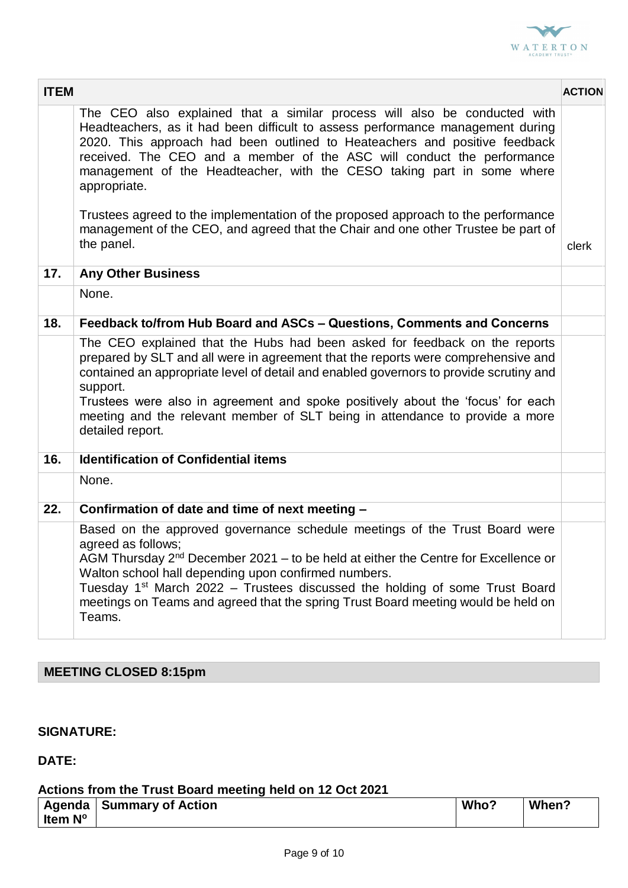

| <b>ITEM</b> |                                                                                                                                                                                                                                                                                                                                                                                                                                                                                                                                                                                                       | <b>ACTION</b> |
|-------------|-------------------------------------------------------------------------------------------------------------------------------------------------------------------------------------------------------------------------------------------------------------------------------------------------------------------------------------------------------------------------------------------------------------------------------------------------------------------------------------------------------------------------------------------------------------------------------------------------------|---------------|
|             | The CEO also explained that a similar process will also be conducted with<br>Headteachers, as it had been difficult to assess performance management during<br>2020. This approach had been outlined to Heateachers and positive feedback<br>received. The CEO and a member of the ASC will conduct the performance<br>management of the Headteacher, with the CESO taking part in some where<br>appropriate.<br>Trustees agreed to the implementation of the proposed approach to the performance<br>management of the CEO, and agreed that the Chair and one other Trustee be part of<br>the panel. | clerk         |
| 17.         | <b>Any Other Business</b>                                                                                                                                                                                                                                                                                                                                                                                                                                                                                                                                                                             |               |
|             | None.                                                                                                                                                                                                                                                                                                                                                                                                                                                                                                                                                                                                 |               |
| 18.         | Feedback to/from Hub Board and ASCs - Questions, Comments and Concerns                                                                                                                                                                                                                                                                                                                                                                                                                                                                                                                                |               |
|             | The CEO explained that the Hubs had been asked for feedback on the reports<br>prepared by SLT and all were in agreement that the reports were comprehensive and<br>contained an appropriate level of detail and enabled governors to provide scrutiny and<br>support.<br>Trustees were also in agreement and spoke positively about the 'focus' for each<br>meeting and the relevant member of SLT being in attendance to provide a more<br>detailed report.                                                                                                                                          |               |
| 16.         | <b>Identification of Confidential items</b>                                                                                                                                                                                                                                                                                                                                                                                                                                                                                                                                                           |               |
|             | None.                                                                                                                                                                                                                                                                                                                                                                                                                                                                                                                                                                                                 |               |
| 22.         | Confirmation of date and time of next meeting -                                                                                                                                                                                                                                                                                                                                                                                                                                                                                                                                                       |               |
|             | Based on the approved governance schedule meetings of the Trust Board were<br>agreed as follows;<br>AGM Thursday 2 <sup>nd</sup> December 2021 - to be held at either the Centre for Excellence or<br>Walton school hall depending upon confirmed numbers.<br>Tuesday 1 <sup>st</sup> March 2022 - Trustees discussed the holding of some Trust Board<br>meetings on Teams and agreed that the spring Trust Board meeting would be held on<br>Teams.                                                                                                                                                  |               |

# **MEETING CLOSED 8:15pm**

### **SIGNATURE:**

## **DATE:**

#### **Actions from the Trust Board meeting held on 12 Oct 2021**

| Agenda  | Summary of Action | Who? | When? |
|---------|-------------------|------|-------|
| Item N° |                   |      |       |